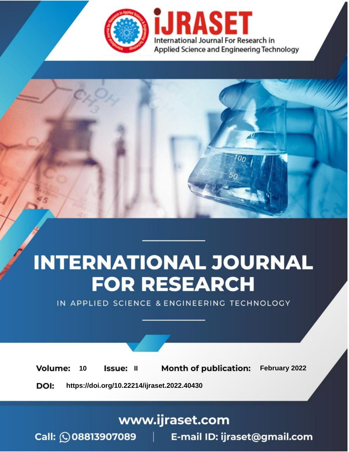

# **INTERNATIONAL JOURNAL FOR RESEARCH**

IN APPLIED SCIENCE & ENGINEERING TECHNOLOGY

**Month of publication:** February 2022 **Volume:** 10 **Issue: II** DOI: https://doi.org/10.22214/ijraset.2022.40430

www.ijraset.com

 $Call: \bigcirc$ 08813907089 E-mail ID: ijraset@gmail.com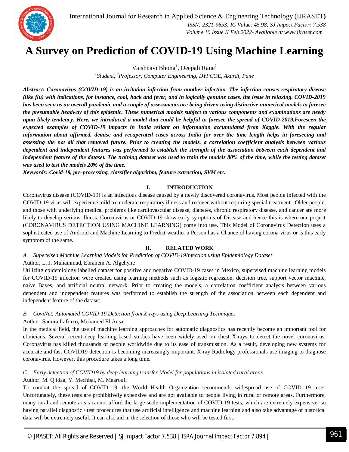

### **A Survey on Prediction of COVID-19 Using Machine Learning**

Vaishnavi Bhong<sup>1</sup>, Deepali Rane<sup>2</sup> *1 Student, <sup>2</sup>Professor, Computer Engineering, DYPCOE, Akurdi, Pune*

*Abstract: Coronavirus (COVID-19) is an irritation infection from another infection. The infection causes respiratory disease (like flu) with indications, for instance, cool, hack and fever, and in logically genuine cases, the issue in relaxing. COVID-2019 has been seen as an overall pandemic and a couple of assessments are being driven using distinctive numerical models to foresee the presumable headway of this epidemic. These numerical models subject to various components and examinations are needy upon likely tendency. Here, we introduced a model that could be helpful to foresee the spread of COVID-2019.Foreseen the expected examples of COVID-19 impacts in India reliant on information accumulated from Kaggle. With the regular information about affirmed, demise and recuperated cases across India for over the time length helps in foreseeing and assessing the not all that removed future. Prior to creating the models, a correlation coefficient analysis between various dependent and independent features was performed to establish the strength of the association between each dependent and*  independent feature of the dataset. The training dataset was used to train the models 80% of the time, while the testing dataset *was used to test the models 20% of the time.*

*Keywords: Covid-19, pre-processing, classifier algorithm, feature extraction, SVM etc.*

#### **I. INTRODUCTION**

Coronavirus disease (COVID-19) is an infectious disease caused by a newly discovered coronavirus. Most people infected with the COVID-19 virus will experience mild to moderate respiratory illness and recover without requiring special treatment. Older people, and those with underlying medical problems like cardiovascular disease, diabetes, chronic respiratory disease, and cancer are more likely to develop serious illness. Coronavirus or COVID-19 show early symptoms of Disease and hence this is where our project (CORONAVIRUS DETECTION USING MACHINE LEARNING) come into use. This Model of Coronavirus Detection uses a sophisticated use of Android and Machine Learning to Predict weather a Person has a Chance of having corona virus or is this early symptom of the same.

#### **II. RELATED WORK**

#### *A. Supervised Machine Learning Models for Prediction of COVID‑19Infection using Epidemiology Dataset*

#### Author, L. J. Muhammad, Ebrahem A. Algehyne

Utilizing epidemiology labelled dataset for positive and negative COVID-19 cases in Mexico, supervised machine learning models for COVID-19 infection were created using learning methods such as logistic regression, decision tree, support vector machine, naive Bayes, and artificial neutral network. Prior to creating the models, a correlation coefficient analysis between various dependent and independent features was performed to establish the strength of the association between each dependent and independent feature of the dataset.

#### *B. CoviNet: Automated COVID-19 Detection from X-rays using Deep Learning Techniques*

#### Author: Samira Lafraxo, Mohamed El Ansari

In the medical field, the use of machine learning approaches for automatic diagnostics has recently become an important tool for clinicians. Several recent deep learning-based studies have been widely used on chest X-rays to detect the novel coronavirus. Coronavirus has killed thousands of people worldwide due to its ease of transmission. As a result, developing new systems for accurate and fast COVID19 detection is becoming increasingly important. X-ray Radiology professionals use imaging to diagnose coronavirus. However, this procedure takes a long time.

#### *C. Early detection of COVID19 by deep learning transfer Model for populations in isolated rural areas* Author: M. Qjidaa, Y. Mechbal, M. Maaroufi

To combat the spread of COVID 19, the World Health Organization recommends widespread use of COVID 19 tests. Unfortunately, these tests are prohibitively expensive and are not available to people living in rural or remote areas. Furthermore, many rural and remote areas cannot afford the large-scale implementation of COVID-19 tests, which are extremely expensive, so having parallel diagnostic / test procedures that use artificial intelligence and machine learning and also take advantage of historical data will be extremely useful. It can also aid in the selection of those who will be tested first.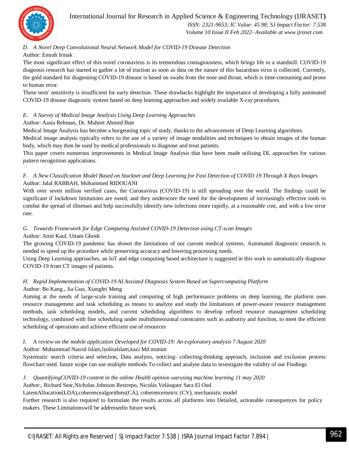

International Journal for Research in Applied Science & Engineering Technology (IJRASET**)**  *ISSN: 2321-9653; IC Value: 45.98; SJ Impact Factor: 7.538 Volume 10 Issue II Feb 2022- Available at www.ijraset.com*

#### *D. A Novel Deep Convolutional Neural Network Model for COVID-19 Disease Detection*

#### Author: Emrah Irmak

The most significant effect of this novel coronavirus is its tremendous contagiousness, which brings life to a standstill. COVID-19 diagnosis research has started to gather a lot of traction as soon as data on the nature of this hazardous virus is collected. Currently, the gold standard for diagnosing COVID-19 disease is based on swabs from the nose and throat, which is time-consuming and prone to human error.

These tests' sensitivity is insufficient for early detection. These drawbacks highlight the importance of developing a fully automated COVID-19 disease diagnostic system based on deep learning approaches and widely available X-ray procedures.

#### *E. A Survey of Medical Image Analysis Using Deep Learning Approaches*

#### Author: Aasia Rehman, Dr. Muheet Ahmed Butt

Medical Image Analysis has become a burgeoning topic of study, thanks to the advancement of Deep Learning algorithms.

Medical image analysis typically refers to the use of a variety of image modalities and techniques to obtain images of the human body, which may then be used by medical professionals to diagnose and treat patients.

This paper covers numerous improvements in Medical Image Analysis that have been made utilising DL approaches for various pattern recognition applications.

#### *F. A New Classification Model Based on Stacknet and Deep Learning for Fast Detection of COVID 19 Through X Rays Images* Author: Jalal RABBAH, Mohammed RIDOUANI

With over seven million verified cases, the Coronavirus (COVID-19) is still spreading over the world. The findings could be significant if lockdown limitations are eased, and they underscore the need for the development of increasingly effective tools to combat the spread of illnesses and help successfully identify new infections more rapidly, at a reasonable cost, and with a low error rate.

#### *G. Towards Framework for Edge Computing Assisted COVID-19 Detection using CT-scan Images*

#### Author: Amit Kaul, Uttam Ghosh

The growing COVID-19 pandemic has shown the limitations of our current medical systems. Automated diagnostic research is needed to speed up the procedure while preserving accuracy and lowering processing needs.

Using Deep Learning approaches, an IoT and edge computing based architecture is suggested in this work to automatically diagnose COVID-19 from CT images of patients.

#### *H. Rapid Implementation of COVID-19 AI Assisted Diagnosis System Based on Supercomputing Platform*

#### Author: Bo Kang , Jia Guo, Xiangfei Meng

Aiming at the needs of large-scale training and computing of high performance problems on deep learning, the platform uses resource management and task scheduling as means to analyze and study the limitations of power-aware resource management methods, task scheduling models, and current scheduling algorithms to develop refined resource management scheduling technology, combined with fine scheduling under multidimensional constraints such as authority and function, to meet the efficient scheduling of operations and achieve efficient use of resources

#### *I. A review on the mobile application Developed for COVID-19: An exploratory analysis 7 August 2020*

#### Author: Muhammad Nazrul lslam,lyolitalslam,kazi Md munim

Systematic search criteria and selection, Data analysis, noticing- collecting-thinking approach, inclusion and exclusion process flowchart used. future scope can use multiple methods To collect and analyse data to investigate the validity of our Findings

#### *J. QuantifyingCOVID-19 content in the online Health opinion warusing machine learning 11 may 2020*

#### Author:, Richard Sear,Nicholas Johnson Restrepo, Nicolás Velásquez Sara El Oud

LatentAllocation(LDA),coherencealgorithms(CA), coherencemetric (CV), mechanistic model

Further research is also required to formulate the results across all platforms into Detailed, actionable consequences for policy makers. These Limitationswill be addressedin future work.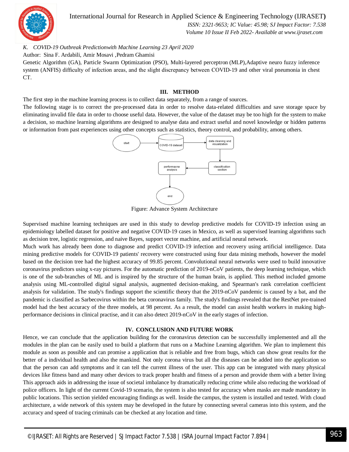

International Journal for Research in Applied Science & Engineering Technology (IJRASET**)**  *ISSN: 2321-9653; IC Value: 45.98; SJ Impact Factor: 7.538*

 *Volume 10 Issue II Feb 2022- Available at www.ijraset.com*

*K. COVID-19 Outbreak Predictionwith Machine Learning 23 April 2020*

Author: Sina F. Ardabili, Amir Mosavi ,Pedram Ghamisi

Genetic Algorithm (GA), Particle Swarm Optimization (PSO), Multi-layered perceptron (MLP),Adaptive neuro fuzzy inference system (ANFIS) difficulty of infection areas, and the slight discrepancy between COVID-19 and other viral pneumonia in chest CT.

#### **III. METHOD**

The first step in the machine learning process is to collect data separately, from a range of sources.

The following stage is to correct the pre-processed data in order to resolve data-related difficulties and save storage space by eliminating invalid file data in order to choose useful data. However, the value of the dataset may be too high for the system to make a decision, so machine learning algorithms are designed to analyse data and extract useful and novel knowledge or hidden patterns or information from past experiences using other concepts such as statistics, theory control, and probability, among others.



Figure: Advance System Architecture

Supervised machine learning techniques are used in this study to develop predictive models for COVID-19 infection using an epidemiology labelled dataset for positive and negative COVID-19 cases in Mexico, as well as supervised learning algorithms such as decision tree, logistic regression, and naive Bayes, support vector machine, and artificial neural network.

Much work has already been done to diagnose and predict COVID-19 infection and recovery using artificial intelligence. Data mining predictive models for COVID-19 patients' recovery were constructed using four data mining methods, however the model based on the decision tree had the highest accuracy of 99.85 percent. Convolutional neural networks were used to build innovative coronavirus predictors using x-ray pictures. For the automatic prediction of 2019-nCoV patients, the deep learning technique, which is one of the sub-branches of ML and is inspired by the structure of the human brain, is applied. This method included genome analysis using ML-controlled digital signal analysis, augmented decision-making, and Spearman's rank correlation coefficient analysis for validation. The study's findings support the scientific theory that the 2019-nCoV pandemic is caused by a bat, and the pandemic is classified as Sarbecovirus within the beta coronavirus family. The study's findings revealed that the RestNet pre-trained model had the best accuracy of the three models, at 98 percent. As a result, the model can assist health workers in making highperformance decisions in clinical practise, and it can also detect 2019-nCoV in the early stages of infection.

#### **IV. CONCLUSION AND FUTURE WORK**

Hence, we can conclude that the application building for the coronavirus detection can be successfully implemented and all the modules in the plan can be easily used to build a platform that runs on a Machine Learning algorithm. We plan to implement this module as soon as possible and can promise a application that is reliable and free from bugs, which can show great results for the better of a individual health and also the mankind. Not only corona virus but all the diseases can be added into the application so that the person can add symptoms and it can tell the current illness of the user. This app can be integrated with many physical devices like fitness band and many other devices to track proper health and fitness of a person and provide them with a better living This approach aids in addressing the issue of societal imbalance by dramatically reducing crime while also reducing the workload of police officers. In light of the current Covid-19 scenario, the system is also tested for accuracy when masks are made mandatory in public locations. This section yielded encouraging findings as well. Inside the campus, the system is installed and tested. With cloud architecture, a wide network of this system may be developed in the future by connecting several cameras into this system, and the accuracy and speed of tracing criminals can be checked at any location and time.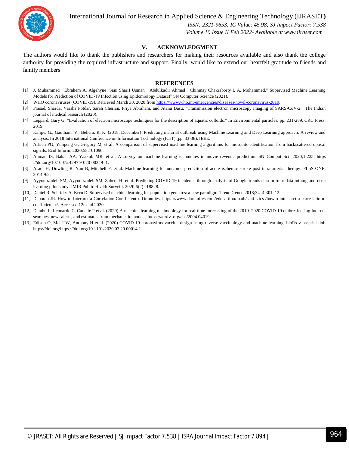

International Journal for Research in Applied Science & Engineering Technology (IJRASET**)**

 *ISSN: 2321-9653; IC Value: 45.98; SJ Impact Factor: 7.538 Volume 10 Issue II Feb 2022- Available at www.ijraset.com*

#### **V. ACKNOWLEDGMENT**

The authors would like to thank the publishers and researchers for making their resources available and also thank the college authority for providing the required infrastructure and support. Finally, would like to extend our heartfelt gratitude to friends and family members

#### **REFERENCES**

- [1] J. Muhammad · Ebrahem A. Algehyne· Sani Sharif Usman · Abdulkadir Ahmad · Chinmay Chakraborty·I. A. Mohammed." Supervised Machine Learning Models for Prediction of COVID‑19 Infection using Epidemiology Dataset" SN Computer Science (2021).
- [2] WHO coronaviruses (COVID-19). Retrieved March 30, 2020 from https://www.who.int/emergencies/diseases/novel-coronavirus-2019.
- [3] Prasad, Sharda, Varsha Potdar, Sarah Cherian, Priya Abraham, and Atanu Basu. "Transmission electron microscopy imaging of SARS-CoV-2." The Indian journal of medical research (2020).
- [4] Leppard, Gary G. "Evaluation of electron microscope techniques for the description of aquatic colloids." In Environmental particles, pp. 231-289. CRC Press, 2019.
- [5] Kalipe, G., Gautham, V., Behera, R. K. (2018, December). Predicting malarial outbreak using Machine Learning and Deep Learning approach: A review and analysis. In 2018 International Conference on Information Technology (ICIT) (pp. 33-38). IEEE.
- [6] Adrien PG, Yunpeng G, Gregory M, et al. A comparison of supervised machine learning algorithms for mosquito identification from backscattered optical signals. Ecol Inform. 2020;58:101090.
- [7] Ahmad IS, Bakar AA, Yaakub MR, et al. A survey on machine learning techniques in movie revenue prediction. SN Comput Sci. 2020;1:235. https ://doi.org/10.1007/s4297 9-020-00249 -1.
- [8] Asadi H, Dowling R, Yan B, Mitchell P, et al. Machine learning for outcome prediction of acute ischemic stroke post intra-arterial therapy. PLoS ONE. 2014;9:2.
- [9] Ayyoubzadeh SM, Ayyoubzadeh SM, Zahedi H, et al. Predicting COVID-19 incidence through analysis of Google trends data in Iran: data mining and deep learning pilot study. JMIR Public Health Surveill. 2020;6(2):e18828.
- [10] Daniel R, Schrider A, Kern D. Supervised machine learning for population genetics: a new paradigm. Trend Genet. 2018;34–4:301–12.
- [11] Deborah JR. How to Interpret a Correlation Coefficient r. Dummies. https ://www.dummi es.com/educa tion/math/stati stics /howto-inter pret-a-corre latio ncoefficien t-r/. Accessed 12th Jul 2020.
- [12] Dianbo L, Leonardo C, Canelle P et al. (2020) A machine learning methodology for real-time forecasting of the 2019-2020 COVID-19 outbreak using Internet searches, news alerts, and estimates from mechanistic models, https ://arxiv .org/abs/2004.04019 .
- [13] Edison O, Mei UW, Anthony H et al. (2020) COVID-19 coronavirus vaccine design using reverse vaccinology and machine learning. bioRxiv preprint doi: https://doi.org/https ://doi.org/10.1101/2020.03.20.00014 1.